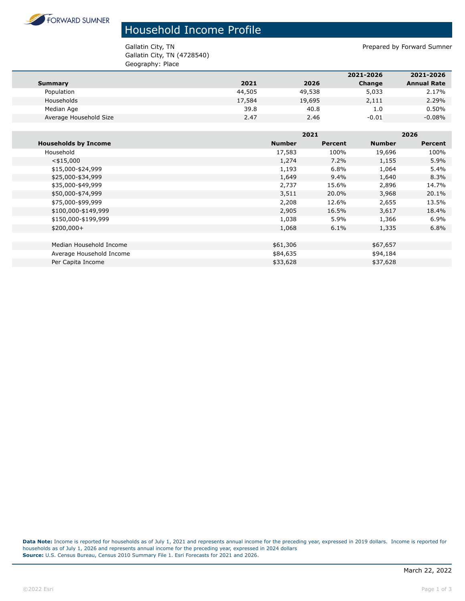

## Household Income Profile

Gallatin City, TN (4728540) Geography: Place

Gallatin City, TN **Prepared by Forward Sumner** 

|                        |        |        | 2021-2026 | 2021-2026          |
|------------------------|--------|--------|-----------|--------------------|
| Summary                | 2021   | 2026   | Change    | <b>Annual Rate</b> |
| Population             | 44,505 | 49,538 | 5,033     | 2.17%              |
| Households             | 17,584 | 19,695 | 2,111     | 2.29%              |
| Median Age             | 39.8   | 40.8   | 1.0       | 0.50%              |
| Average Household Size | 2.47   | 2.46   | $-0.01$   | $-0.08%$           |

|                             |               | 2021           |               | 2026    |  |
|-----------------------------|---------------|----------------|---------------|---------|--|
| <b>Households by Income</b> | <b>Number</b> | <b>Percent</b> | <b>Number</b> | Percent |  |
| Household                   | 17,583        | 100%           | 19,696        | 100%    |  |
| $<$ \$15,000                | 1,274         | 7.2%           | 1,155         | 5.9%    |  |
| \$15,000-\$24,999           | 1,193         | 6.8%           | 1,064         | 5.4%    |  |
| \$25,000-\$34,999           | 1,649         | $9.4\%$        | 1,640         | 8.3%    |  |
| \$35,000-\$49,999           | 2,737         | 15.6%          | 2,896         | 14.7%   |  |
| \$50,000-\$74,999           | 3,511         | 20.0%          | 3,968         | 20.1%   |  |
| \$75,000-\$99,999           | 2,208         | 12.6%          | 2,655         | 13.5%   |  |
| \$100,000-\$149,999         | 2,905         | 16.5%          | 3,617         | 18.4%   |  |
| \$150,000-\$199,999         | 1,038         | 5.9%           | 1,366         | 6.9%    |  |
| $$200,000+$                 | 1,068         | 6.1%           | 1,335         | 6.8%    |  |
|                             |               |                |               |         |  |
| Median Household Income     | \$61,306      |                | \$67,657      |         |  |
| Average Household Income    | \$84,635      |                | \$94,184      |         |  |
| Per Capita Income           | \$33,628      |                | \$37,628      |         |  |

**Data Note:** Income is reported for households as of July 1, 2021 and represents annual income for the preceding year, expressed in 2019 dollars. Income is reported for households as of July 1, 2026 and represents annual income for the preceding year, expressed in 2024 dollars **Source:** U.S. Census Bureau, Census 2010 Summary File 1. Esri Forecasts for 2021 and 2026.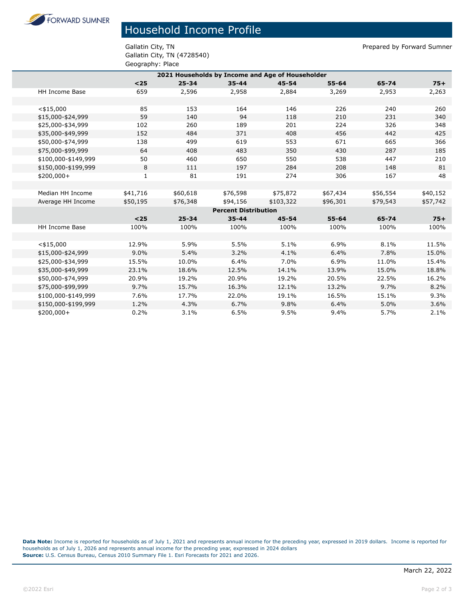**FORWARD SUMNER** 

## Household Income Profile

Gallatin City, TN (4728540) Geography: Place

Gallatin City, TN **Prepared by Forward Sumner** 

| 2021 Households by Income and Age of Householder |              |           |           |           |           |          |          |  |
|--------------------------------------------------|--------------|-----------|-----------|-----------|-----------|----------|----------|--|
|                                                  | $25$         | $25 - 34$ | $35 - 44$ | $45 - 54$ | $55 - 64$ | 65-74    | $75+$    |  |
| HH Income Base                                   | 659          | 2,596     | 2,958     | 2,884     | 3,269     | 2,953    | 2,263    |  |
|                                                  |              |           |           |           |           |          |          |  |
| $<$ \$15,000                                     | 85           | 153       | 164       | 146       | 226       | 240      | 260      |  |
| \$15,000-\$24,999                                | 59           | 140       | 94        | 118       | 210       | 231      | 340      |  |
| \$25,000-\$34,999                                | 102          | 260       | 189       | 201       | 224       | 326      | 348      |  |
| \$35,000-\$49,999                                | 152          | 484       | 371       | 408       | 456       | 442      | 425      |  |
| \$50,000-\$74,999                                | 138          | 499       | 619       | 553       | 671       | 665      | 366      |  |
| \$75,000-\$99,999                                | 64           | 408       | 483       | 350       | 430       | 287      | 185      |  |
| \$100,000-\$149,999                              | 50           | 460       | 650       | 550       | 538       | 447      | 210      |  |
| \$150,000-\$199,999                              | 8            | 111       | 197       | 284       | 208       | 148      | 81       |  |
| $$200,000+$                                      | $\mathbf{1}$ | 81        | 191       | 274       | 306       | 167      | 48       |  |
|                                                  |              |           |           |           |           |          |          |  |
| Median HH Income                                 | \$41,716     | \$60,618  | \$76,598  | \$75,872  | \$67,434  | \$56,554 | \$40,152 |  |
| Average HH Income                                | \$50,195     | \$76,348  | \$94,156  | \$103,322 | \$96,301  | \$79,543 | \$57,742 |  |
| <b>Percent Distribution</b>                      |              |           |           |           |           |          |          |  |
|                                                  | $25$         | $25 - 34$ | $35 - 44$ | $45 - 54$ | $55 - 64$ | 65-74    | $75+$    |  |
| HH Income Base                                   | 100%         | 100%      | 100%      | 100%      | 100%      | 100%     | 100%     |  |
|                                                  |              |           |           |           |           |          |          |  |
| $<$ \$15,000                                     | 12.9%        | 5.9%      | 5.5%      | 5.1%      | 6.9%      | 8.1%     | 11.5%    |  |
| \$15,000-\$24,999                                | 9.0%         | 5.4%      | 3.2%      | 4.1%      | 6.4%      | 7.8%     | 15.0%    |  |
| \$25,000-\$34,999                                | 15.5%        | 10.0%     | 6.4%      | 7.0%      | 6.9%      | 11.0%    | 15.4%    |  |
| \$35,000-\$49,999                                | 23.1%        | 18.6%     | 12.5%     | 14.1%     | 13.9%     | 15.0%    | 18.8%    |  |
| \$50,000-\$74,999                                | 20.9%        | 19.2%     | 20.9%     | 19.2%     | 20.5%     | 22.5%    | 16.2%    |  |
| \$75,000-\$99,999                                | 9.7%         | 15.7%     | 16.3%     | 12.1%     | 13.2%     | 9.7%     | 8.2%     |  |
| \$100,000-\$149,999                              | 7.6%         | 17.7%     | 22.0%     | 19.1%     | 16.5%     | 15.1%    | 9.3%     |  |
| \$150,000-\$199,999                              | 1.2%         | 4.3%      | 6.7%      | 9.8%      | 6.4%      | 5.0%     | 3.6%     |  |
| \$200,000+                                       | 0.2%         | 3.1%      | 6.5%      | 9.5%      | 9.4%      | 5.7%     | 2.1%     |  |

**Data Note:** Income is reported for households as of July 1, 2021 and represents annual income for the preceding year, expressed in 2019 dollars. Income is reported for households as of July 1, 2026 and represents annual income for the preceding year, expressed in 2024 dollars **Source:** U.S. Census Bureau, Census 2010 Summary File 1. Esri Forecasts for 2021 and 2026.